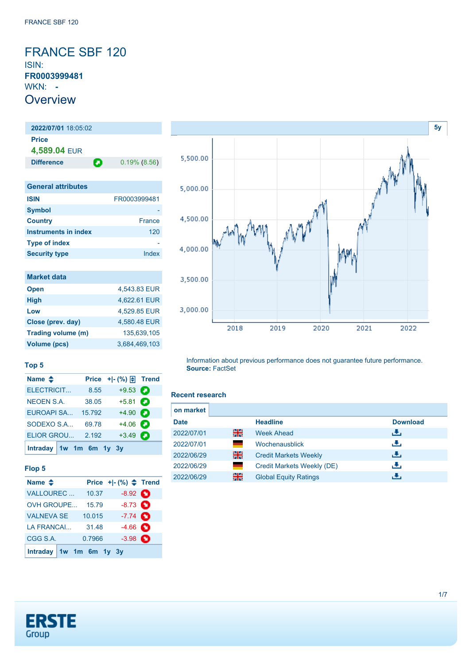### <span id="page-0-0"></span>FRANCE SBF 120 ISIN: **FR0003999481** WKN: **- Overview**

**2022/07/01** 18:05:02 **Price 4,589.04** EUR **Difference 0.19% (8.56) General attributes ISIN** FR0003999481 **Symbol Country** France **Instruments in index** 120 **Type of index** 

| <b>Market data</b> |               |
|--------------------|---------------|
| <b>Open</b>        | 4,543.83 EUR  |
| <b>High</b>        | 4.622.61 EUR  |
| Low                | 4,529.85 EUR  |
| Close (prev. day)  | 4,580.48 EUR  |
| Trading volume (m) | 135.639.105   |
| Volume (pcs)       | 3.684.469.103 |

**Name ◆ Price +|- (%) E** Trend [ELECTRICIT...](https://de.products.erstegroup.com/CorporateClients/en/Dispatcher/FactsheetDispatcher/index.phtml?ID_NOTATION=13268003) 8.55 +9.53 [NEOEN S.A.](https://de.products.erstegroup.com/CorporateClients/en/Dispatcher/FactsheetDispatcher/index.phtml?ID_NOTATION=232383446) 38.05 +5.81 [EUROAPI SA...](https://de.products.erstegroup.com/CorporateClients/en/Dispatcher/FactsheetDispatcher/index.phtml?ID_NOTATION=378523008) 15.792 +4.90 [SODEXO S.A...](https://de.products.erstegroup.com/CorporateClients/en/Dispatcher/FactsheetDispatcher/index.phtml?ID_NOTATION=195783) 69.78 +4.06 [ELIOR GROU...](https://de.products.erstegroup.com/CorporateClients/en/Dispatcher/FactsheetDispatcher/index.phtml?ID_NOTATION=103665466) 2.192 +3.49

**Security type Index** 



Information about previous performance does not guarantee future performance. **Source:** FactSet

#### **Recent research**

| on market   |    |                              |                 |
|-------------|----|------------------------------|-----------------|
| <b>Date</b> |    | <b>Headline</b>              | <b>Download</b> |
| 2022/07/01  | 을중 | Week Ahead                   | æ,              |
| 2022/07/01  | ٠  | Wochenausblick               | رنان            |
| 2022/06/29  | 을중 | <b>Credit Markets Weekly</b> | رالى            |
| 2022/06/29  | ٠  | Credit Markets Weekly (DE)   | رالى            |
| 2022/06/29  | 을중 | <b>Global Equity Ratings</b> |                 |



[VALNEVA SE](https://de.products.erstegroup.com/CorporateClients/en/Dispatcher/FactsheetDispatcher/index.phtml?ID_NOTATION=18318923) 10.015 -7.74 [LA FRANCAI...](https://de.products.erstegroup.com/CorporateClients/en/Dispatcher/FactsheetDispatcher/index.phtml?ID_NOTATION=274373311) 31.48 -4.66 **0** [CGG S.A.](https://de.products.erstegroup.com/CorporateClients/en/Dispatcher/FactsheetDispatcher/index.phtml?ID_NOTATION=76473876) 0.7966 -3.98

**[Intraday](https://de.products.erstegroup.com/CorporateClients/en/MarketsAndTrends/IndicesAndEquities/Factsheets/Index/print.phtml?&elem906849_durationTimes=gen_intraday&ID_NOTATION=325013) [1w](https://de.products.erstegroup.com/CorporateClients/en/MarketsAndTrends/IndicesAndEquities/Factsheets/Index/print.phtml?&elem906849_durationTimes=gen_1w&ID_NOTATION=325013) [1m](https://de.products.erstegroup.com/CorporateClients/en/MarketsAndTrends/IndicesAndEquities/Factsheets/Index/print.phtml?&elem906849_durationTimes=gen_1m&ID_NOTATION=325013) [6m](https://de.products.erstegroup.com/CorporateClients/en/MarketsAndTrends/IndicesAndEquities/Factsheets/Index/print.phtml?&elem906849_durationTimes=gen_6m&ID_NOTATION=325013) [1y](https://de.products.erstegroup.com/CorporateClients/en/MarketsAndTrends/IndicesAndEquities/Factsheets/Index/print.phtml?&elem906849_durationTimes=gen_1y&ID_NOTATION=325013) [3y](https://de.products.erstegroup.com/CorporateClients/en/MarketsAndTrends/IndicesAndEquities/Factsheets/Index/print.phtml?&elem906849_durationTimes=gen_3y&ID_NOTATION=325013)**



**Top 5**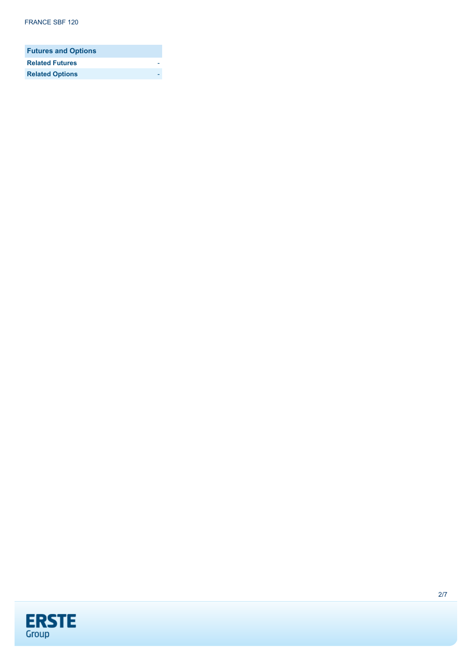| <b>Futures and Options</b> |  |
|----------------------------|--|
| <b>Related Futures</b>     |  |
| <b>Related Options</b>     |  |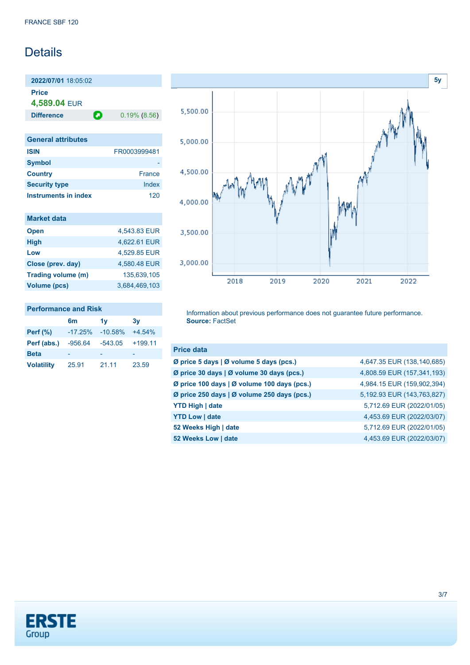## Details

**2022/07/01** 18:05:02 **Price 4,589.04** EUR

**Difference 0.19% (8.56)** 

| <b>General attributes</b> |               |
|---------------------------|---------------|
| <b>ISIN</b>               | FR0003999481  |
| <b>Symbol</b>             |               |
| <b>Country</b>            | <b>France</b> |
| <b>Security type</b>      | Index         |
| Instruments in index      | 120           |

| <b>Market data</b> |               |
|--------------------|---------------|
| <b>Open</b>        | 4,543.83 EUR  |
| <b>High</b>        | 4,622.61 EUR  |
| Low                | 4.529.85 EUR  |
| Close (prev. day)  | 4,580.48 EUR  |
| Trading volume (m) | 135.639.105   |
| Volume (pcs)       | 3,684,469,103 |

### **Performance and Risk**

|                   | 6 <sub>m</sub> | 1v        | 3v        |
|-------------------|----------------|-----------|-----------|
| Perf $(\%)$       | $-17.25%$      | $-10.58%$ | $+4.54%$  |
| Perf (abs.)       | $-956.64$      | $-543.05$ | $+199.11$ |
| <b>Beta</b>       |                |           |           |
| <b>Volatility</b> | 25.91          | 21.11     | 23.59     |



Information about previous performance does not guarantee future performance. **Source:** FactSet

| <b>Price data</b>                           |                            |
|---------------------------------------------|----------------------------|
| Ø price 5 days   Ø volume 5 days (pcs.)     | 4,647.35 EUR (138,140,685) |
| Ø price 30 days   Ø volume 30 days (pcs.)   | 4,808.59 EUR (157,341,193) |
| Ø price 100 days   Ø volume 100 days (pcs.) | 4,984.15 EUR (159,902,394) |
| Ø price 250 days   Ø volume 250 days (pcs.) | 5,192.93 EUR (143,763,827) |
| <b>YTD High   date</b>                      | 5,712.69 EUR (2022/01/05)  |
| <b>YTD Low   date</b>                       | 4,453.69 EUR (2022/03/07)  |
| 52 Weeks High   date                        | 5,712.69 EUR (2022/01/05)  |
| 52 Weeks Low   date                         | 4,453.69 EUR (2022/03/07)  |

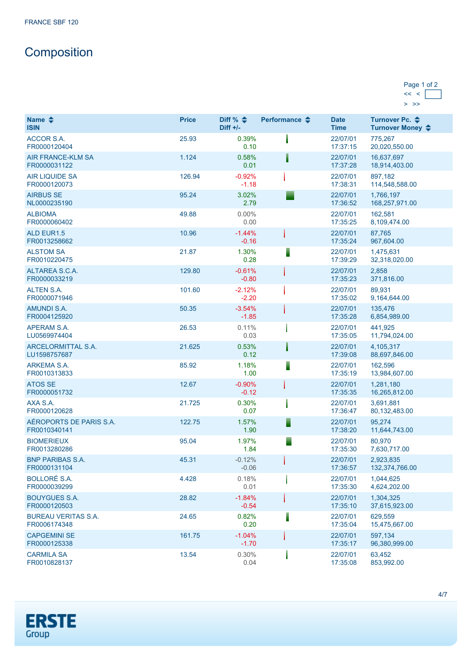# **Composition**

### Page 1 of 2  $<< <$  $>$  >>

| Name $\triangle$<br><b>ISIN</b>            | <b>Price</b> | Diff % $\triangleq$<br>Diff $+/-$ | Performance $\triangle$ | <b>Date</b><br><b>Time</b> | Turnover Pc. <b>←</b><br>Turnover Money ♦ |
|--------------------------------------------|--------------|-----------------------------------|-------------------------|----------------------------|-------------------------------------------|
| <b>ACCOR S.A.</b><br>FR0000120404          | 25.93        | 0.39%<br>0.10                     |                         | 22/07/01<br>17:37:15       | 775,267<br>20,020,550.00                  |
| <b>AIR FRANCE-KLM SA</b><br>FR0000031122   | 1.124        | 0.58%<br>0.01                     |                         | 22/07/01<br>17:37:28       | 16,637,697<br>18,914,403.00               |
| <b>AIR LIQUIDE SA</b><br>FR0000120073      | 126.94       | $-0.92%$<br>$-1.18$               |                         | 22/07/01<br>17:38:31       | 897,182<br>114,548,588.00                 |
| <b>AIRBUS SE</b><br>NL0000235190           | 95.24        | 3.02%<br>2.79                     |                         | 22/07/01<br>17:36:52       | 1,766,197<br>168,257,971.00               |
| <b>ALBIOMA</b><br>FR0000060402             | 49.88        | $0.00\%$<br>0.00                  |                         | 22/07/01<br>17:35:25       | 162,581<br>8,109,474.00                   |
| <b>ALD EUR1.5</b><br>FR0013258662          | 10.96        | $-1.44%$<br>$-0.16$               |                         | 22/07/01<br>17:35:24       | 87,765<br>967,604.00                      |
| <b>ALSTOM SA</b><br>FR0010220475           | 21.87        | 1.30%<br>0.28                     |                         | 22/07/01<br>17:39:29       | 1,475,631<br>32,318,020.00                |
| ALTAREA S.C.A.<br>FR0000033219             | 129.80       | $-0.61%$<br>$-0.80$               |                         | 22/07/01<br>17:35:23       | 2,858<br>371,816.00                       |
| <b>ALTEN S.A.</b><br>FR0000071946          | 101.60       | $-2.12%$<br>$-2.20$               |                         | 22/07/01<br>17:35:02       | 89,931<br>9,164,644.00                    |
| <b>AMUNDI S.A.</b><br>FR0004125920         | 50.35        | $-3.54%$<br>$-1.85$               |                         | 22/07/01<br>17:35:28       | 135.476<br>6,854,989.00                   |
| APERAM S.A.<br>LU0569974404                | 26.53        | 0.11%<br>0.03                     |                         | 22/07/01<br>17:35:05       | 441.925<br>11,794,024.00                  |
| ARCELORMITTAL S.A.<br>LU1598757687         | 21.625       | 0.53%<br>0.12                     |                         | 22/07/01<br>17:39:08       | 4,105,317<br>88,697,846.00                |
| ARKEMA S.A.<br>FR0010313833                | 85.92        | 1.18%<br>1.00                     |                         | 22/07/01<br>17:35:19       | 162,596<br>13,984,607.00                  |
| <b>ATOS SE</b><br>FR0000051732             | 12.67        | $-0.90%$<br>$-0.12$               |                         | 22/07/01<br>17:35:35       | 1,281,180<br>16,265,812.00                |
| AXA S.A.<br>FR0000120628                   | 21.725       | 0.30%<br>0.07                     |                         | 22/07/01<br>17:36:47       | 3,691,881<br>80, 132, 483.00              |
| AÉROPORTS DE PARIS S.A.<br>FR0010340141    | 122.75       | 1.57%<br>1.90                     |                         | 22/07/01<br>17:38:20       | 95,274<br>11,644,743.00                   |
| <b>BIOMERIEUX</b><br>FR0013280286          | 95.04        | 1.97%<br>1.84                     |                         | 22/07/01<br>17:35:30       | 80,970<br>7,630,717.00                    |
| <b>BNP PARIBAS S.A.</b><br>FR0000131104    | 45.31        | $-0.12%$<br>$-0.06$               |                         | 22/07/01<br>17:36:57       | 2,923,835<br>132,374,766.00               |
| <b>BOLLORÉ S.A.</b><br>FR0000039299        | 4.428        | 0.18%<br>0.01                     |                         | 22/07/01<br>17:35:30       | 1,044,625<br>4,624,202.00                 |
| <b>BOUYGUES S.A.</b><br>FR0000120503       | 28.82        | $-1.84%$<br>$-0.54$               |                         | 22/07/01<br>17:35:10       | 1,304,325<br>37,615,923.00                |
| <b>BUREAU VERITAS S.A.</b><br>FR0006174348 | 24.65        | 0.82%<br>0.20                     |                         | 22/07/01<br>17:35:04       | 629,559<br>15,475,667.00                  |
| <b>CAPGEMINI SE</b><br>FR0000125338        | 161.75       | $-1.04%$<br>$-1.70$               |                         | 22/07/01<br>17:35:17       | 597,134<br>96,380,999.00                  |
| <b>CARMILA SA</b><br>FR0010828137          | 13.54        | 0.30%<br>0.04                     |                         | 22/07/01<br>17:35:08       | 63,452<br>853,992.00                      |

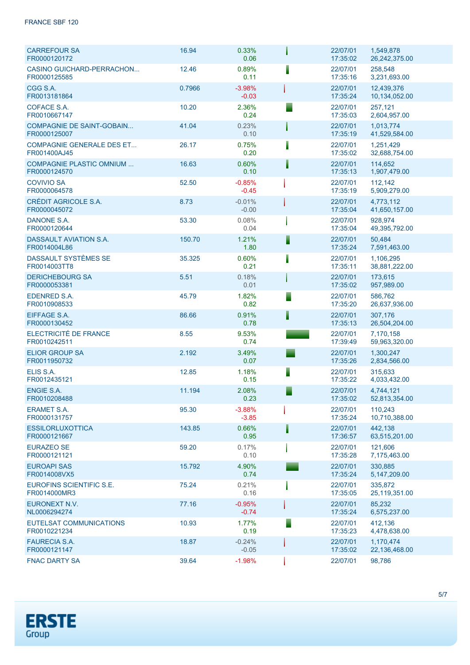### FRANCE SBF 120

| <b>CARREFOUR SA</b><br>FR0000120172              | 16.94  | 0.33%<br>0.06       |   | 22/07/01<br>17:35:02 | 1,549,878<br>26,242,375.00  |  |
|--------------------------------------------------|--------|---------------------|---|----------------------|-----------------------------|--|
| <b>CASINO GUICHARD-PERRACHON</b><br>FR0000125585 | 12.46  | 0.89%<br>0.11       |   | 22/07/01<br>17:35:16 | 258,548<br>3,231,693.00     |  |
| CGG S.A.<br>FR0013181864                         | 0.7966 | $-3.98%$<br>$-0.03$ |   | 22/07/01<br>17:35:24 | 12,439,376<br>10,134,052.00 |  |
| COFACE S.A.<br>FR0010667147                      | 10.20  | 2.36%<br>0.24       |   | 22/07/01<br>17:35:03 | 257,121<br>2,604,957.00     |  |
| <b>COMPAGNIE DE SAINT-GOBAIN</b><br>FR0000125007 | 41.04  | 0.23%<br>0.10       |   | 22/07/01<br>17:35:19 | 1.013.774<br>41,529,584.00  |  |
| <b>COMPAGNIE GENERALE DES ET</b><br>FR001400AJ45 | 26.17  | 0.75%<br>0.20       |   | 22/07/01<br>17:35:02 | 1,251,429<br>32,688,754.00  |  |
| <b>COMPAGNIE PLASTIC OMNIUM </b><br>FR0000124570 | 16.63  | 0.60%<br>0.10       |   | 22/07/01<br>17:35:13 | 114.652<br>1,907,479.00     |  |
| <b>COVIVIO SA</b><br>FR0000064578                | 52.50  | $-0.85%$<br>$-0.45$ |   | 22/07/01<br>17:35:19 | 112.142<br>5,909,279.00     |  |
| <b>CRÉDIT AGRICOLE S.A.</b><br>FR0000045072      | 8.73   | $-0.01%$<br>$-0.00$ |   | 22/07/01<br>17:35:04 | 4.773.112<br>41,650,157.00  |  |
| DANONE S.A.<br>FR0000120644                      | 53.30  | 0.08%<br>0.04       |   | 22/07/01<br>17:35:04 | 928.974<br>49,395,792.00    |  |
| <b>DASSAULT AVIATION S.A.</b><br>FR0014004L86    | 150.70 | 1.21%<br>1.80       | I | 22/07/01<br>17:35:24 | 50.484<br>7,591,463.00      |  |
| DASSAULT SYSTÈMES SE<br>FR0014003TT8             | 35.325 | 0.60%<br>0.21       |   | 22/07/01<br>17:35:11 | 1,106,295<br>38,881,222.00  |  |
| <b>DERICHEBOURG SA</b><br>FR0000053381           | 5.51   | 0.18%<br>0.01       |   | 22/07/01<br>17:35:02 | 173,615<br>957,989.00       |  |
| <b>EDENRED S.A.</b><br>FR0010908533              | 45.79  | 1.82%<br>0.82       | ▀ | 22/07/01<br>17:35:20 | 586,762<br>26,637,936.00    |  |
| EIFFAGE S.A.<br>FR0000130452                     | 86.66  | 0.91%<br>0.78       |   | 22/07/01<br>17:35:13 | 307,176<br>26,504,204.00    |  |
| ELECTRICITÉ DE FRANCE<br>FR0010242511            | 8.55   | 9.53%<br>0.74       |   | 22/07/01<br>17:39:49 | 7,170,158<br>59,963,320.00  |  |
| <b>ELIOR GROUP SA</b><br>FR0011950732            | 2.192  | 3.49%<br>0.07       |   | 22/07/01<br>17:35:26 | 1,300,247<br>2,834,566.00   |  |
| ELIS S.A.<br>FR0012435121                        | 12.85  | 1.18%<br>0.15       | ı | 22/07/01<br>17:35:22 | 315,633<br>4,033,432.00     |  |
| <b>ENGIE S.A.</b><br>FR0010208488                | 11.194 | 2.08%<br>0.23       |   | 22/07/01<br>17:35:02 | 4.744.121<br>52,813,354.00  |  |
| <b>ERAMET S.A.</b><br>FR0000131757               | 95.30  | $-3.88%$<br>$-3.85$ |   | 22/07/01<br>17:35:24 | 110,243<br>10,710,388.00    |  |
| <b>ESSILORLUXOTTICA</b><br>FR0000121667          | 143.85 | 0.66%<br>0.95       |   | 22/07/01<br>17:36:57 | 442,138<br>63,515,201.00    |  |
| <b>EURAZEO SE</b><br>FR0000121121                | 59.20  | 0.17%<br>0.10       |   | 22/07/01<br>17:35:28 | 121,606<br>7,175,463.00     |  |
| <b>EUROAPI SAS</b><br>FR0014008VX5               | 15.792 | 4.90%<br>0.74       |   | 22/07/01<br>17:35:24 | 330,885<br>5,147,209.00     |  |
| EUROFINS SCIENTIFIC S.E.<br>FR0014000MR3         | 75.24  | 0.21%<br>0.16       |   | 22/07/01<br>17:35:05 | 335.872<br>25,119,351.00    |  |
| EURONEXT N.V.<br>NL0006294274                    | 77.16  | $-0.95%$<br>$-0.74$ |   | 22/07/01<br>17:35:24 | 85,232<br>6,575,237.00      |  |
| EUTELSAT COMMUNICATIONS<br>FR0010221234          | 10.93  | 1.77%<br>0.19       |   | 22/07/01<br>17:35:23 | 412,136<br>4,478,638.00     |  |
| <b>FAURECIA S.A.</b><br>FR0000121147             | 18.87  | $-0.24%$<br>$-0.05$ |   | 22/07/01<br>17:35:02 | 1,170,474<br>22,136,468.00  |  |
| <b>FNAC DARTY SA</b>                             | 39.64  | $-1.98%$            |   | 22/07/01             | 98,786                      |  |

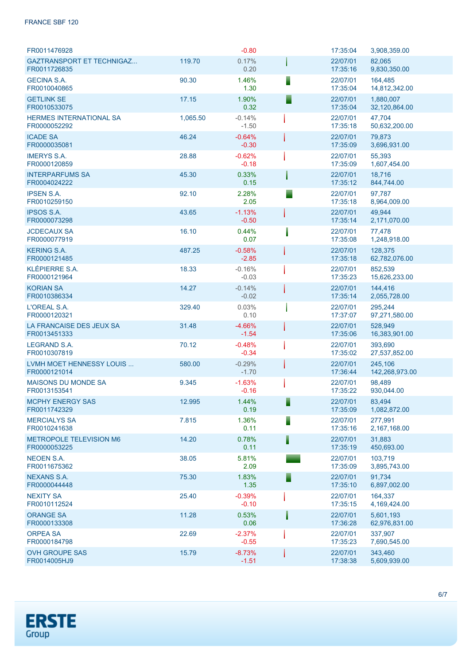### FRANCE SBF 120

| FR0011476928                                     |          | $-0.80$             | 17:35:04             | 3,908,359.00               |
|--------------------------------------------------|----------|---------------------|----------------------|----------------------------|
| <b>GAZTRANSPORT ET TECHNIGAZ</b><br>FR0011726835 | 119.70   | 0.17%<br>0.20       | 22/07/01<br>17:35:16 | 82,065<br>9,830,350.00     |
| <b>GECINA S.A.</b><br>FR0010040865               | 90.30    | 1.46%<br>1.30       | 22/07/01<br>17:35:04 | 164,485<br>14,812,342.00   |
| <b>GETLINK SE</b><br>FR0010533075                | 17.15    | 1.90%<br>0.32       | 22/07/01<br>17:35:04 | 1,880,007<br>32,120,864.00 |
| <b>HERMES INTERNATIONAL SA</b><br>FR0000052292   | 1,065.50 | $-0.14%$<br>$-1.50$ | 22/07/01<br>17:35:18 | 47,704<br>50,632,200.00    |
| <b>ICADE SA</b><br>FR0000035081                  | 46.24    | $-0.64%$<br>$-0.30$ | 22/07/01<br>17:35:09 | 79,873<br>3,696,931.00     |
| <b>IMERYS S.A.</b><br>FR0000120859               | 28.88    | $-0.62%$<br>$-0.18$ | 22/07/01<br>17:35:09 | 55,393<br>1,607,454.00     |
| <b>INTERPARFUMS SA</b><br>FR0004024222           | 45.30    | 0.33%<br>0.15       | 22/07/01<br>17:35:12 | 18,716<br>844,744.00       |
| <b>IPSEN S.A.</b><br>FR0010259150                | 92.10    | 2.28%<br>2.05       | 22/07/01<br>17:35:18 | 97,787<br>8,964,009.00     |
| <b>IPSOS S.A.</b><br>FR0000073298                | 43.65    | $-1.13%$<br>$-0.50$ | 22/07/01<br>17:35:14 | 49,944<br>2,171,070.00     |
| <b>JCDECAUX SA</b><br>FR0000077919               | 16.10    | 0.44%<br>0.07       | 22/07/01<br>17:35:08 | 77,478<br>1,248,918.00     |
| <b>KERING S.A.</b><br>FR0000121485               | 487.25   | $-0.58%$<br>$-2.85$ | 22/07/01<br>17:35:18 | 128,375<br>62,782,076.00   |
| KLÉPIERRE S.A.<br>FR0000121964                   | 18.33    | $-0.16%$<br>$-0.03$ | 22/07/01<br>17:35:23 | 852,539<br>15,626,233.00   |
| <b>KORIAN SA</b><br>FR0010386334                 | 14.27    | $-0.14%$<br>$-0.02$ | 22/07/01<br>17:35:14 | 144,416<br>2,055,728.00    |
| L'OREAL S.A.<br>FR0000120321                     | 329.40   | 0.03%<br>0.10       | 22/07/01<br>17:37:07 | 295,244<br>97,271,580.00   |
| LA FRANCAISE DES JEUX SA<br>FR0013451333         | 31.48    | $-4.66%$<br>$-1.54$ | 22/07/01<br>17:35:06 | 528,949<br>16,383,901.00   |
| <b>LEGRAND S.A.</b><br>FR0010307819              | 70.12    | $-0.48%$<br>$-0.34$ | 22/07/01<br>17:35:02 | 393,690<br>27,537,852.00   |
| LVMH MOET HENNESSY LOUIS<br>FR0000121014         | 580.00   | $-0.29%$<br>$-1.70$ | 22/07/01<br>17:36:44 | 245,106<br>142,268,973.00  |
| <b>MAISONS DU MONDE SA</b><br>FR0013153541       | 9.345    | $-1.63%$<br>$-0.16$ | 22/07/01<br>17:35:22 | 98,489<br>930,044.00       |
| <b>MCPHY ENERGY SAS</b><br>FR0011742329          | 12.995   | 1.44%<br>0.19       | 22/07/01<br>17:35:09 | 83.494<br>1,082,872.00     |
| <b>MERCIALYS SA</b><br>FR0010241638              | 7.815    | 1.36%<br>0.11       | 22/07/01<br>17:35:16 | 277,991<br>2,167,168.00    |
| METROPOLE TELEVISION M6<br>FR0000053225          | 14.20    | 0.78%<br>0.11       | 22/07/01<br>17:35:19 | 31,883<br>450,693.00       |
| <b>NEOEN S.A.</b><br>FR0011675362                | 38.05    | 5.81%<br>2.09       | 22/07/01<br>17:35:09 | 103.719<br>3,895,743.00    |
| <b>NEXANS S.A.</b><br>FR0000044448               | 75.30    | 1.83%<br>1.35       | 22/07/01<br>17:35:10 | 91,734<br>6,897,002.00     |
| <b>NEXITY SA</b><br>FR0010112524                 | 25.40    | $-0.39%$<br>$-0.10$ | 22/07/01<br>17:35:15 | 164,337<br>4,169,424.00    |
| <b>ORANGE SA</b><br>FR0000133308                 | 11.28    | 0.53%<br>0.06       | 22/07/01<br>17:36:28 | 5,601,193<br>62,976,831.00 |
| <b>ORPEA SA</b><br>FR0000184798                  | 22.69    | $-2.37%$<br>$-0.55$ | 22/07/01<br>17:35:23 | 337,907<br>7,690,545.00    |
| <b>OVH GROUPE SAS</b><br>FR0014005HJ9            | 15.79    | $-8.73%$<br>$-1.51$ | 22/07/01<br>17:38:38 | 343,460<br>5,609,939.00    |